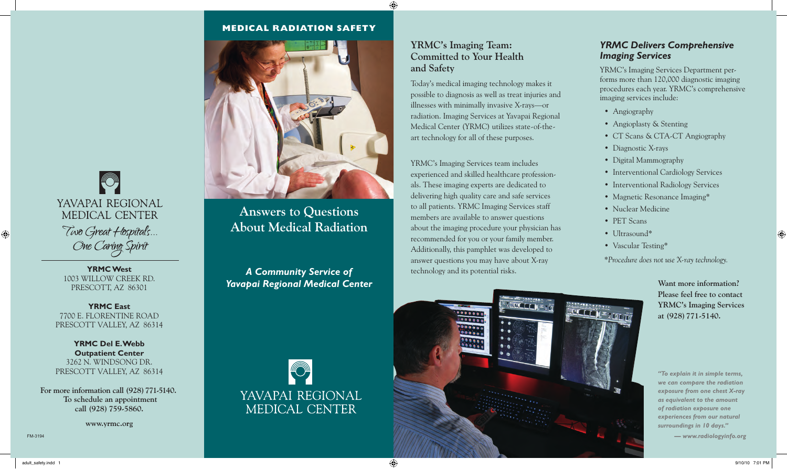## **MEDICAL RADIATION SAFETY**



**Answers to Questions About Medical Radiation**

**A Community Service of the set of the community Service of the set of the set of the set of the set of the set of the set of the set of the set of the set of the set of the set of the set of the set of the set of the set** *Yavapai Regional Medical Center*



## **YRMC's Imaging Team: Committed to Your Health and Safety**

Today's medical imaging technology makes it possible to diagnosis as well as treat injuries and illnesses with minimally invasive X-rays—or radiation. Imaging Services at Yavapai Regional Medical Center (YRMC) utilizes state-of-theart technology for all of these purposes.

YRMC's Imaging Services team includes experienced and skilled healthcare professionals. These imaging experts are dedicated to delivering high quality care and safe services to all patients. YRMC Imaging Services staff members are available to answer questions about the imaging procedure your physician has recommended for you or your family member. Additionally, this pamphlet was developed to answer questions you may have about X-ray

> .....  $.00000$  $0.0000$

ELTT

## *YRMC Delivers Comprehensive Imaging Services*

YRMC's Imaging Services Department performs more than 120,000 diagnostic imaging procedures each year. YRMC's comprehensive imaging services include:

- Angiography
- Angioplasty & Stenting
- CT Scans & CTA-CT Angiography
- Diagnostic X-rays
- Digital Mammography
- Interventional Cardiology Services
- Interventional Radiology Services
- Magnetic Resonance Imaging\*
- Nuclear Medicine
- PET Scans
- Ultrasound\*
- Vascular Testing\*

*\*Procedure does not use X-ray technology.*

**Want more information? Please feel free to contact YRMC's Imaging Services at (928)771-5140.** 

*"To explain it in simple terms, we can compare the radiation exposure from one chest X-ray as equivalent to the amount of radiation exposure one experiences from our natural surroundings in 10 days."*

*— www.radiologyinfo.org* 

 $\bigcirc$ YAVAPAI REGIONAL MEDICAL CENTER Two Great Hospitals... One Caring Spirit

1003 Willow Creek Rd. PRESCOTT, AZ 86301

**YRMC East**  7700 E. Florentine Road PRESCOTT VALLEY, AZ 86314

**YRMC Del E. Webb Outpatient Center** 3262 N. Windsong Dr. PRESCOTT VALLEY, AZ 86314

**For more information call (928)771-5140. To schedule an appointment call (928) 759-5860.**

**www.yrmc.org**